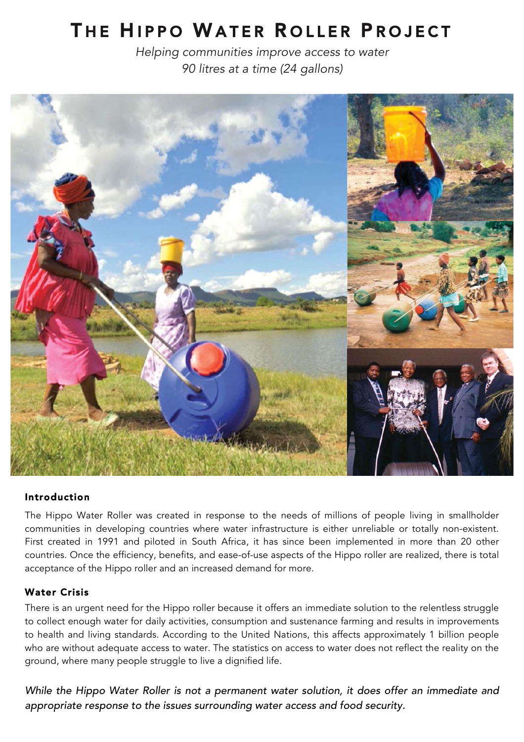# THE HIPPO WATER ROLLER PROJECT

*Helping communities improve access to water 90 litres at a time (24 gallons)*



#### Introduction

The Hippo Water Roller was created in response to the needs of millions of people living in smallholder communities in developing countries where water infrastructure is either unreliable or totally non-existent. First created in 1991 and piloted in South Africa, it has since been implemented in more than 20 other countries. Once the efficiency, benefits, and ease-of-use aspects of the Hippo roller are realized, there is total acceptance of the Hippo roller and an increased demand for more.

#### Water Crisis

There is an urgent need for the Hippo roller because it offers an immediate solution to the relentless struggle to collect enough water for daily activities, consumption and sustenance farming and results in improvements to health and living standards. According to the United Nations, this affects approximately 1 billion people who are without adequate access to water. The statistics on access to water does not reflect the reality on the ground, where many people struggle to live a dignified life.

*While the Hippo Water Roller is not a permanent water solution, it does offer an immediate and appropriate response to the issues surrounding water access and food security.*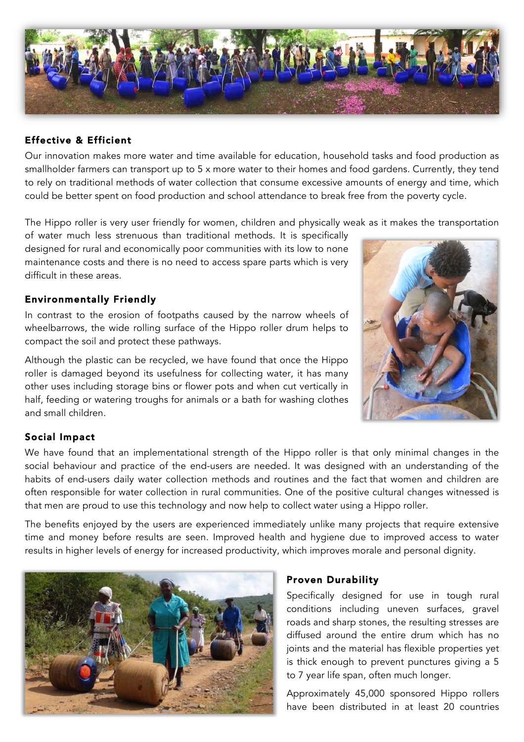

## Effective & Efficient

Our innovation makes more water and time available for education, household tasks and food production as smallholder farmers can transport up to 5 x more water to their homes and food gardens. Currently, they tend to rely on traditional methods of water collection that consume excessive amounts of energy and time, which could be better spent on food production and school attendance to break free from the poverty cycle.

The Hippo roller is very user friendly for women, children and physically weak as it makes the transportation

of water much less strenuous than traditional methods. It is specifically designed for rural and economically poor communities with its low to none maintenance costs and there is no need to access spare parts which is very difficult in these areas.

## Environmentally Friendly

In contrast to the erosion of footpaths caused by the narrow wheels of wheelbarrows, the wide rolling surface of the Hippo roller drum helps to compact the soil and protect these pathways.

Although the plastic can be recycled, we have found that once the Hippo roller is damaged beyond its usefulness for collecting water, it has many other uses including storage bins or flower pots and when cut vertically in half, feeding or watering troughs for animals or a bath for washing clothes and small children.



## Social Impact

We have found that an implementational strength of the Hippo roller is that only minimal changes in the social behaviour and practice of the end-users are needed. It was designed with an understanding of the habits of end-users daily water collection methods and routines and the fact that women and children are often responsible for water collection in rural communities. One of the positive cultural changes witnessed is that men are proud to use this technology and now help to collect water using a Hippo roller.

The benefits enjoyed by the users are experienced immediately unlike many projects that require extensive time and money before results are seen. Improved health and hygiene due to improved access to water results in higher levels of energy for increased productivity, which improves morale and personal dignity.



## Proven Durability

Specifically designed for use in tough rural conditions including uneven surfaces, gravel roads and sharp stones, the resulting stresses are diffused around the entire drum which has no joints and the material has flexible properties yet is thick enough to prevent punctures giving a 5 to 7 year life span, often much longer.

Approximately 45,000 sponsored Hippo rollers have been distributed in at least 20 countries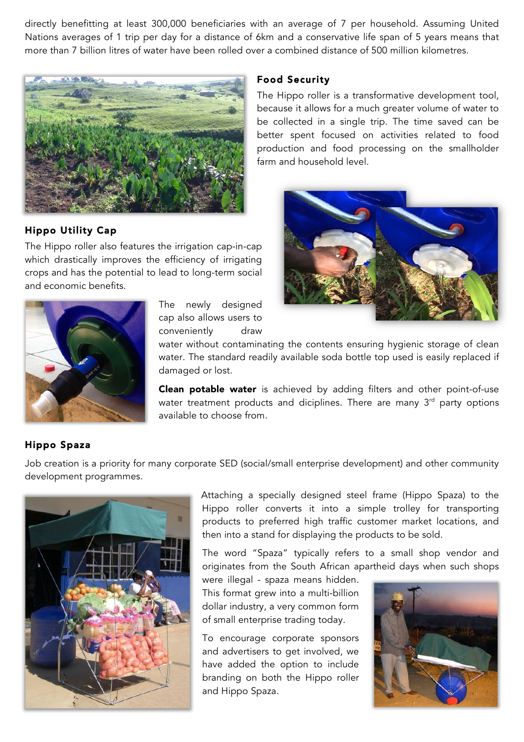directly benefitting at least 300,000 beneficiaries with an average of 7 per household. Assuming United Nations averages of 1 trip per day for a distance of 6km and a conservative life span of 5 years means that more than 7 billion litres of water have been rolled over a combined distance of 500 million kilometres.



## Hippo Utility Cap

The Hippo roller also features the irrigation cap-in-cap which drastically improves the efficiency of irrigating crops and has the potential to lead to long-term social and economic benefits.



The newly designed cap also allows users to conveniently draw

water without contaminating the contents ensuring hygienic storage of clean water. The standard readily available soda bottle top used is easily replaced if damaged or lost.

Clean potable water is achieved by adding filters and other point-of-use water treatment products and diciplines. There are many  $3<sup>rd</sup>$  party options available to choose from.

## Hippo Spaza

Job creation is a priority for many corporate SED (social/small enterprise development) and other community development programmes.



Attaching a specially designed steel frame (Hippo Spaza) to the Hippo roller converts it into a simple trolley for transporting products to preferred high traffic customer market locations, and then into a stand for displaying the products to be sold.

The word "Spaza" typically refers to a small shop vendor and originates from the South African apartheid days when such shops

were illegal - spaza means hidden. This format grew into a multi-billion dollar industry, a very common form of small enterprise trading today.

To encourage corporate sponsors and advertisers to get involved, we have added the option to include branding on both the Hippo roller and Hippo Spaza.



#### Food Security

The Hippo roller is a transformative development tool, because it allows for a much greater volume of water to be collected in a single trip. The time saved can be better spent focused on activities related to food production and food processing on the smallholder farm and household level.